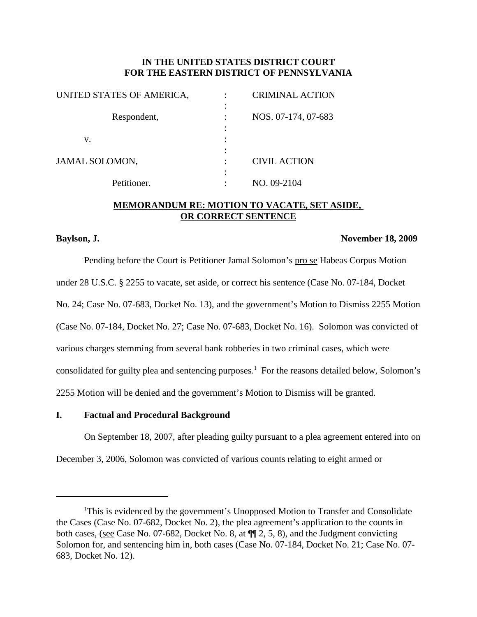# **IN THE UNITED STATES DISTRICT COURT FOR THE EASTERN DISTRICT OF PENNSYLVANIA**

| UNITED STATES OF AMERICA, | <b>CRIMINAL ACTION</b> |
|---------------------------|------------------------|
|                           |                        |
| Respondent,               | NOS. 07-174, 07-683    |
|                           |                        |
| v.                        |                        |
|                           |                        |
| JAMAL SOLOMON,            | <b>CIVIL ACTION</b>    |
|                           |                        |
| Petitioner.               | NO. 09-2104            |
|                           |                        |

## **MEMORANDUM RE: MOTION TO VACATE, SET ASIDE, OR CORRECT SENTENCE**

#### **Baylson, J. November 18, 2009**

Pending before the Court is Petitioner Jamal Solomon's pro se Habeas Corpus Motion under 28 U.S.C. § 2255 to vacate, set aside, or correct his sentence (Case No. 07-184, Docket No. 24; Case No. 07-683, Docket No. 13), and the government's Motion to Dismiss 2255 Motion (Case No. 07-184, Docket No. 27; Case No. 07-683, Docket No. 16). Solomon was convicted of various charges stemming from several bank robberies in two criminal cases, which were consolidated for guilty plea and sentencing purposes. <sup>1</sup> For the reasons detailed below, Solomon's 2255 Motion will be denied and the government's Motion to Dismiss will be granted.

### **I. Factual and Procedural Background**

On September 18, 2007, after pleading guilty pursuant to a plea agreement entered into on

December 3, 2006, Solomon was convicted of various counts relating to eight armed or

<sup>&</sup>lt;sup>1</sup>This is evidenced by the government's Unopposed Motion to Transfer and Consolidate the Cases (Case No. 07-682, Docket No. 2), the plea agreement's application to the counts in both cases, (see Case No. 07-682, Docket No. 8, at ¶¶ 2, 5, 8), and the Judgment convicting Solomon for, and sentencing him in, both cases (Case No. 07-184, Docket No. 21; Case No. 07- 683, Docket No. 12).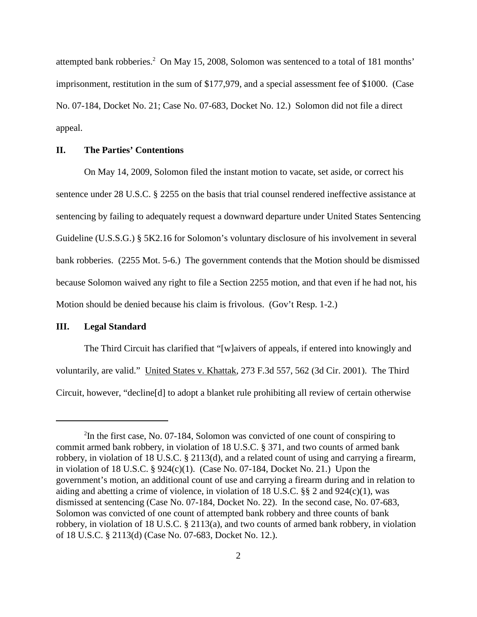attempted bank robberies. <sup>2</sup> On May 15, 2008, Solomon was sentenced to a total of 181 months' imprisonment, restitution in the sum of \$177,979, and a special assessment fee of \$1000. (Case No. 07-184, Docket No. 21; Case No. 07-683, Docket No. 12.) Solomon did not file a direct appeal.

## **II. The Parties' Contentions**

On May 14, 2009, Solomon filed the instant motion to vacate, set aside, or correct his sentence under 28 U.S.C. § 2255 on the basis that trial counsel rendered ineffective assistance at sentencing by failing to adequately request a downward departure under United States Sentencing Guideline (U.S.S.G.) § 5K2.16 for Solomon's voluntary disclosure of his involvement in several bank robberies. (2255 Mot. 5-6.) The government contends that the Motion should be dismissed because Solomon waived any right to file a Section 2255 motion, and that even if he had not, his Motion should be denied because his claim is frivolous. (Gov't Resp. 1-2.)

#### **III. Legal Standard**

The Third Circuit has clarified that "[w]aivers of appeals, if entered into knowingly and voluntarily, are valid." United States v. Khattak, 273 F.3d 557, 562 (3d Cir. 2001). The Third Circuit, however, "decline[d] to adopt a blanket rule prohibiting all review of certain otherwise

<sup>&</sup>lt;sup>2</sup>In the first case, No. 07-184, Solomon was convicted of one count of conspiring to commit armed bank robbery, in violation of 18 U.S.C. § 371, and two counts of armed bank robbery, in violation of 18 U.S.C. § 2113(d), and a related count of using and carrying a firearm, in violation of 18 U.S.C. § 924(c)(1). (Case No. 07-184, Docket No. 21.) Upon the government's motion, an additional count of use and carrying a firearm during and in relation to aiding and abetting a crime of violence, in violation of 18 U.S.C. §§ 2 and 924(c)(1), was dismissed at sentencing (Case No. 07-184, Docket No. 22). In the second case, No. 07-683, Solomon was convicted of one count of attempted bank robbery and three counts of bank robbery, in violation of 18 U.S.C. § 2113(a), and two counts of armed bank robbery, in violation of 18 U.S.C. § 2113(d) (Case No. 07-683, Docket No. 12.).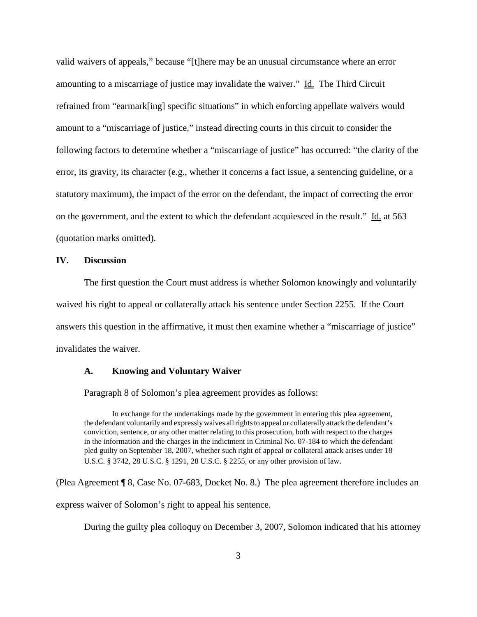valid waivers of appeals," because "[t]here may be an unusual circumstance where an error amounting to a miscarriage of justice may invalidate the waiver." Id. The Third Circuit refrained from "earmark[ing] specific situations" in which enforcing appellate waivers would amount to a "miscarriage of justice," instead directing courts in this circuit to consider the following factors to determine whether a "miscarriage of justice" has occurred: "the clarity of the error, its gravity, its character (e.g., whether it concerns a fact issue, a sentencing guideline, or a statutory maximum), the impact of the error on the defendant, the impact of correcting the error on the government, and the extent to which the defendant acquiesced in the result." Id. at 563 (quotation marks omitted).

#### **IV. Discussion**

The first question the Court must address is whether Solomon knowingly and voluntarily waived his right to appeal or collaterally attack his sentence under Section 2255. If the Court answers this question in the affirmative, it must then examine whether a "miscarriage of justice" invalidates the waiver.

#### **A. Knowing and Voluntary Waiver**

Paragraph 8 of Solomon's plea agreement provides as follows:

In exchange for the undertakings made by the government in entering this plea agreement, the defendant voluntarily and expresslywaives allrightsto appeal or collaterally attack the defendant's conviction, sentence, or any other matter relating to this prosecution, both with respect to the charges in the information and the charges in the indictment in Criminal No. 07-184 to which the defendant pled guilty on September 18, 2007, whether such right of appeal or collateral attack arises under 18 U.S.C. § 3742, 28 U.S.C. § 1291, 28 U.S.C. § 2255, or any other provision of law.

(Plea Agreement ¶ 8, Case No. 07-683, Docket No. 8.) The plea agreement therefore includes an express waiver of Solomon's right to appeal his sentence.

During the guilty plea colloquy on December 3, 2007, Solomon indicated that his attorney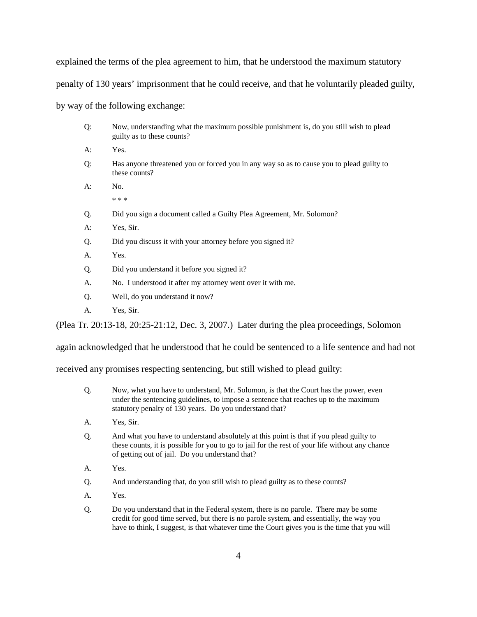explained the terms of the plea agreement to him, that he understood the maximum statutory penalty of 130 years' imprisonment that he could receive, and that he voluntarily pleaded guilty, by way of the following exchange:

Q: Now, understanding what the maximum possible punishment is, do you still wish to plead

guilty as to these counts?

|                                                                                            | A: | Yes.                                                                                                      |  |  |
|--------------------------------------------------------------------------------------------|----|-----------------------------------------------------------------------------------------------------------|--|--|
|                                                                                            | Q: | Has anyone threatened you or forced you in any way so as to cause you to plead guilty to<br>these counts? |  |  |
|                                                                                            | A: | No.                                                                                                       |  |  |
|                                                                                            |    | * * *                                                                                                     |  |  |
|                                                                                            | Q. | Did you sign a document called a Guilty Plea Agreement, Mr. Solomon?                                      |  |  |
|                                                                                            | A: | Yes, Sir.                                                                                                 |  |  |
|                                                                                            | Q. | Did you discuss it with your attorney before you signed it?                                               |  |  |
|                                                                                            | A. | Yes.                                                                                                      |  |  |
|                                                                                            | Q. | Did you understand it before you signed it?                                                               |  |  |
|                                                                                            | A. | No. I understood it after my attorney went over it with me.                                               |  |  |
|                                                                                            | Q. | Well, do you understand it now?                                                                           |  |  |
|                                                                                            | A. | Yes, Sir.                                                                                                 |  |  |
| (Plea Tr. 20:13-18, 20:25-21:12, Dec. 3, 2007.) Later during the plea proceedings, Solomon |    |                                                                                                           |  |  |
|                                                                                            |    |                                                                                                           |  |  |

again acknowledged that he understood that he could be sentenced to a life sentence and had not

received any promises respecting sentencing, but still wished to plead guilty:

- Q. Now, what you have to understand, Mr. Solomon, is that the Court has the power, even under the sentencing guidelines, to impose a sentence that reaches up to the maximum statutory penalty of 130 years. Do you understand that?
- A. Yes, Sir.
- Q. And what you have to understand absolutely at this point is that if you plead guilty to these counts, it is possible for you to go to jail for the rest of your life without any chance of getting out of jail. Do you understand that?
- A. Yes.
- Q. And understanding that, do you still wish to plead guilty as to these counts?
- A. Yes.
- Q. Do you understand that in the Federal system, there is no parole. There may be some credit for good time served, but there is no parole system, and essentially, the way you have to think, I suggest, is that whatever time the Court gives you is the time that you will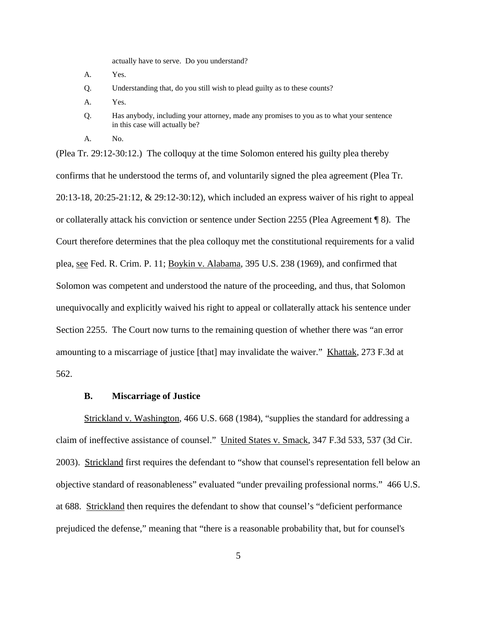actually have to serve. Do you understand?

- A. Yes.
- Q. Understanding that, do you still wish to plead guilty as to these counts?
- A. Yes.
- Q. Has anybody, including your attorney, made any promises to you as to what your sentence in this case will actually be?
- A. No.

(Plea Tr. 29:12-30:12.) The colloquy at the time Solomon entered his guilty plea thereby confirms that he understood the terms of, and voluntarily signed the plea agreement (Plea Tr. 20:13-18, 20:25-21:12, & 29:12-30:12), which included an express waiver of his right to appeal or collaterally attack his conviction or sentence under Section 2255 (Plea Agreement ¶ 8). The Court therefore determines that the plea colloquy met the constitutional requirements for a valid plea, see Fed. R. Crim. P. 11; Boykin v. Alabama, 395 U.S. 238 (1969), and confirmed that Solomon was competent and understood the nature of the proceeding, and thus, that Solomon unequivocally and explicitly waived his right to appeal or collaterally attack his sentence under Section 2255. The Court now turns to the remaining question of whether there was "an error amounting to a miscarriage of justice [that] may invalidate the waiver." Khattak, 273 F.3d at 562.

#### **B. Miscarriage of Justice**

Strickland v. Washington, 466 U.S. 668 (1984), "supplies the standard for addressing a claim of ineffective assistance of counsel." United States v. Smack, 347 F.3d 533, 537 (3d Cir. 2003). Strickland first requires the defendant to "show that counsel's representation fell below an objective standard of reasonableness" evaluated "under prevailing professional norms." 466 U.S. at 688. Strickland then requires the defendant to show that counsel's "deficient performance prejudiced the defense," meaning that "there is a reasonable probability that, but for counsel's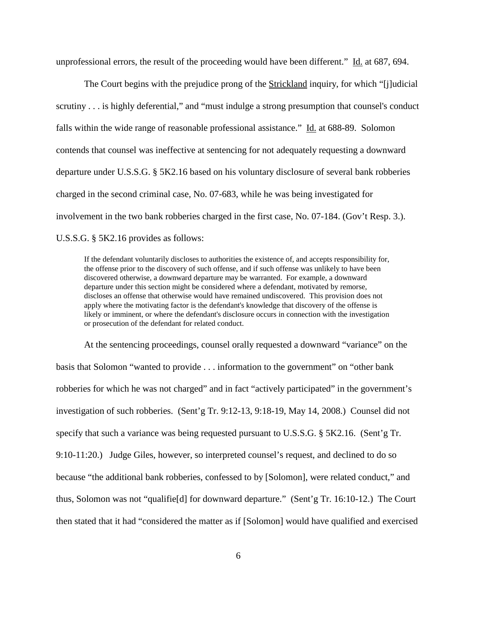unprofessional errors, the result of the proceeding would have been different." Id. at 687, 694.

The Court begins with the prejudice prong of the Strickland inquiry, for which "[j]udicial scrutiny . . . is highly deferential," and "must indulge a strong presumption that counsel's conduct falls within the wide range of reasonable professional assistance." Id. at 688-89. Solomon contends that counsel was ineffective at sentencing for not adequately requesting a downward departure under U.S.S.G. § 5K2.16 based on his voluntary disclosure of several bank robberies charged in the second criminal case, No. 07-683, while he was being investigated for involvement in the two bank robberies charged in the first case, No. 07-184. (Gov't Resp. 3.). U.S.S.G. § 5K2.16 provides as follows:

If the defendant voluntarily discloses to authorities the existence of, and accepts responsibility for, the offense prior to the discovery of such offense, and if such offense was unlikely to have been discovered otherwise, a downward departure may be warranted. For example, a downward departure under this section might be considered where a defendant, motivated by remorse, discloses an offense that otherwise would have remained undiscovered. This provision does not apply where the motivating factor is the defendant's knowledge that discovery of the offense is likely or imminent, or where the defendant's disclosure occurs in connection with the investigation or prosecution of the defendant for related conduct.

At the sentencing proceedings, counsel orally requested a downward "variance" on the basis that Solomon "wanted to provide . . . information to the government" on "other bank robberies for which he was not charged" and in fact "actively participated" in the government's investigation of such robberies. (Sent'g Tr. 9:12-13, 9:18-19, May 14, 2008.) Counsel did not specify that such a variance was being requested pursuant to U.S.S.G. § 5K2.16. (Sent'g Tr. 9:10-11:20.) Judge Giles, however, so interpreted counsel's request, and declined to do so because "the additional bank robberies, confessed to by [Solomon], were related conduct," and thus, Solomon was not "qualifie[d] for downward departure." (Sent'g Tr. 16:10-12.) The Court then stated that it had "considered the matter as if [Solomon] would have qualified and exercised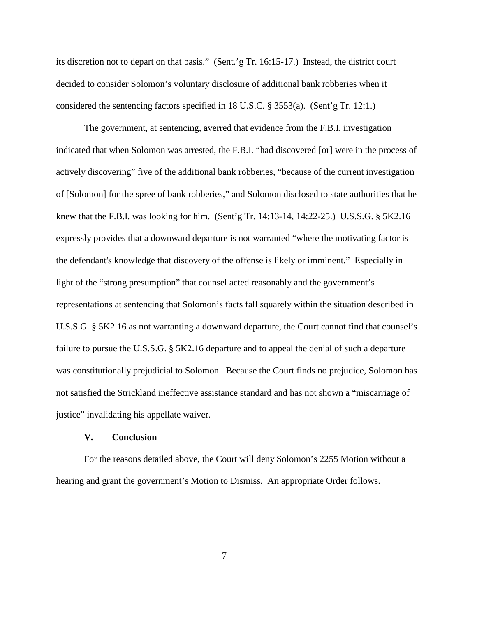its discretion not to depart on that basis." (Sent.'g Tr. 16:15-17.) Instead, the district court decided to consider Solomon's voluntary disclosure of additional bank robberies when it considered the sentencing factors specified in 18 U.S.C. § 3553(a). (Sent'g Tr. 12:1.)

The government, at sentencing, averred that evidence from the F.B.I. investigation indicated that when Solomon was arrested, the F.B.I. "had discovered [or] were in the process of actively discovering" five of the additional bank robberies, "because of the current investigation of [Solomon] for the spree of bank robberies," and Solomon disclosed to state authorities that he knew that the F.B.I. was looking for him. (Sent'g Tr. 14:13-14, 14:22-25.) U.S.S.G. § 5K2.16 expressly provides that a downward departure is not warranted "where the motivating factor is the defendant's knowledge that discovery of the offense is likely or imminent." Especially in light of the "strong presumption" that counsel acted reasonably and the government's representations at sentencing that Solomon's facts fall squarely within the situation described in U.S.S.G. § 5K2.16 as not warranting a downward departure, the Court cannot find that counsel's failure to pursue the U.S.S.G. § 5K2.16 departure and to appeal the denial of such a departure was constitutionally prejudicial to Solomon. Because the Court finds no prejudice, Solomon has not satisfied the Strickland ineffective assistance standard and has not shown a "miscarriage of justice" invalidating his appellate waiver.

### **V. Conclusion**

For the reasons detailed above, the Court will deny Solomon's 2255 Motion without a hearing and grant the government's Motion to Dismiss. An appropriate Order follows.

7